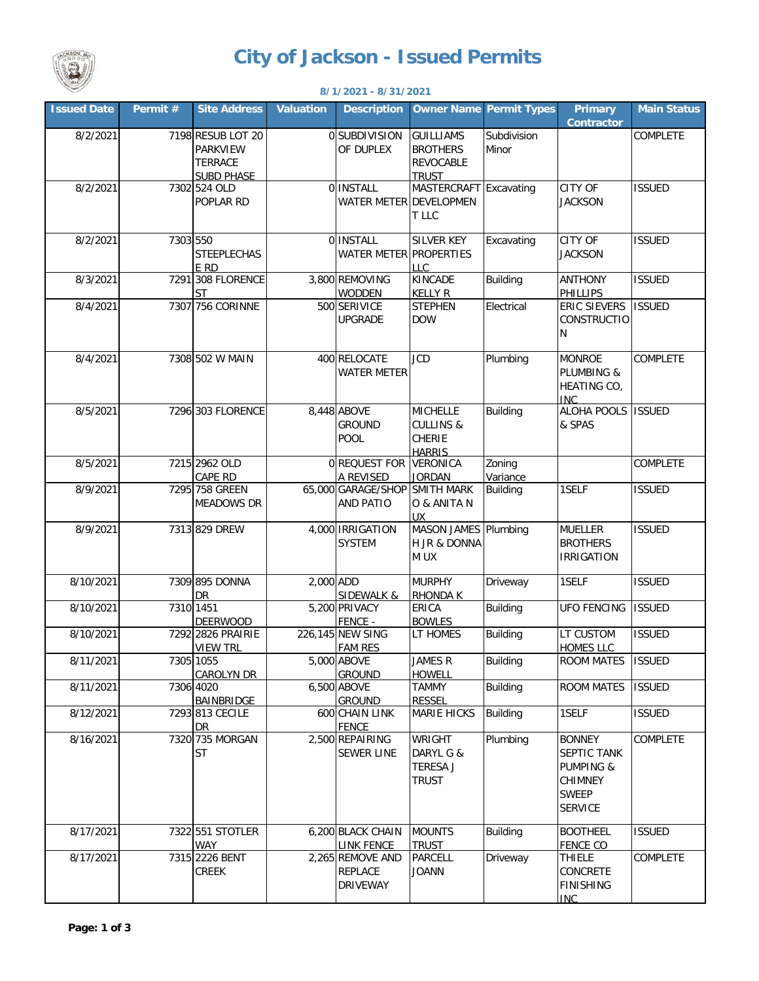

## **City of Jackson - Issued Permits**

| 8/1/2021 - 8/31/2021 |          |                                                                             |                  |                                                       |                                                                           |                                |                                                                                                          |                    |  |
|----------------------|----------|-----------------------------------------------------------------------------|------------------|-------------------------------------------------------|---------------------------------------------------------------------------|--------------------------------|----------------------------------------------------------------------------------------------------------|--------------------|--|
| <b>Issued Date</b>   | Permit # | <b>Site Address</b>                                                         | <b>Valuation</b> | <b>Description</b>                                    |                                                                           | <b>Owner Name Permit Types</b> | <b>Primary</b><br><b>Contractor</b>                                                                      | <b>Main Status</b> |  |
| 8/2/2021             |          | 7198 RESUB LOT 20<br><b>PARKVIEW</b><br><b>TERRACE</b><br><b>SUBD PHASE</b> |                  | 0 SUBDIVISION<br>OF DUPLEX                            | <b>GUILLIAMS</b><br><b>BROTHERS</b><br><b>REVOCABLE</b><br><b>TRUST</b>   | Subdivision<br>Minor           |                                                                                                          | COMPLETE           |  |
| 8/2/2021             |          | 7302 524 OLD<br>POPLAR RD                                                   |                  | 0 INSTALL<br>WATER METER DEVELOPMEN                   | <b>MASTERCRAFT</b><br>T LLC                                               | Excavating                     | CITY OF<br><b>JACKSON</b>                                                                                | <b>ISSUED</b>      |  |
| 8/2/2021             | 7303 550 | <b>STEEPLECHAS</b><br>E RD                                                  |                  | 0 INSTALL<br><b>WATER METER PROPERTIES</b>            | <b>SILVER KEY</b><br><b>LLC</b>                                           | Excavating                     | <b>CITY OF</b><br><b>JACKSON</b>                                                                         | <b>ISSUED</b>      |  |
| 8/3/2021             |          | 7291 308 FLORENCE<br><b>ST</b>                                              |                  | 3,800 REMOVING<br><b>WODDEN</b>                       | <b>KINCADE</b><br><b>KELLY R</b>                                          | <b>Building</b>                | <b>ANTHONY</b><br><b>PHILLIPS</b>                                                                        | <b>ISSUED</b>      |  |
| 8/4/2021             |          | 7307 756 CORINNE                                                            |                  | 500 SERIVICE<br><b>UPGRADE</b>                        | <b>STEPHEN</b><br><b>DOW</b>                                              | Electrical                     | ERIC SIEVERS<br><b>CONSTRUCTIO</b><br>N                                                                  | <b>ISSUED</b>      |  |
| 8/4/2021             |          | 7308 502 W MAIN                                                             |                  | 400 RELOCATE<br><b>WATER METER</b>                    | <b>JCD</b>                                                                | Plumbing                       | <b>MONROE</b><br>PLUMBING &<br>HEATING CO,<br><b>INC</b>                                                 | COMPLETE           |  |
| 8/5/2021             |          | 7296 303 FLORENCE                                                           |                  | 8,448 ABOVE<br><b>GROUND</b><br>POOL                  | <b>MICHELLE</b><br><b>CULLINS &amp;</b><br><b>CHERIE</b><br><b>HARRIS</b> | <b>Building</b>                | ALOHA POOLS<br>& SPAS                                                                                    | <b>ISSUED</b>      |  |
| 8/5/2021             |          | 7215 2962 OLD<br>CAPE RD                                                    |                  | 0 REQUEST FOR<br>A REVISED                            | <b>VERONICA</b><br><b>JORDAN</b>                                          | Zoning<br>Variance             |                                                                                                          | COMPLETE           |  |
| 8/9/2021             |          | 7295 758 GREEN<br><b>MEADOWS DR</b>                                         |                  | 65,000 GARAGE/SHOP SMITH MARK<br><b>AND PATIO</b>     | O & ANITA N<br><b>UX</b>                                                  | <b>Building</b>                | 1SELF                                                                                                    | <b>ISSUED</b>      |  |
| 8/9/2021             |          | 7313 829 DREW                                                               |                  | 4,000 IRRIGATION<br><b>SYSTEM</b>                     | <b>MASON JAMES</b><br><b>H JR &amp; DONNA</b><br>M UX                     | Plumbing                       | <b>MUELLER</b><br><b>BROTHERS</b><br><b>IRRIGATION</b>                                                   | <b>ISSUED</b>      |  |
| 8/10/2021            |          | 7309 895 DONNA<br><b>DR</b>                                                 | 2,000 ADD        | <b>SIDEWALK &amp;</b>                                 | <b>MURPHY</b><br>RHONDA K                                                 | Driveway                       | 1SELF                                                                                                    | <b>ISSUED</b>      |  |
| 8/10/2021            |          | 7310 1451<br><b>DEERWOOD</b>                                                |                  | 5,200 PRIVACY<br>FENCE -                              | <b>ERICA</b><br><b>BOWLES</b>                                             | <b>Building</b>                | <b>UFO FENCING</b>                                                                                       | <b>ISSUED</b>      |  |
| 8/10/2021            |          | 7292 2826 PRAIRIE<br><b>VIEW TRL</b>                                        |                  | 226,145 NEW SING<br><b>FAM RES</b>                    | LT HOMES                                                                  | Building                       | LT CUSTOM<br><b>HOMES LLC</b>                                                                            | <b>ISSUED</b>      |  |
| 8/11/2021            |          | 7305 1055<br><b>CAROLYN DR</b>                                              |                  | 5,000 ABOVE<br><b>GROUND</b>                          | JAMES R<br><b>HOWELL</b>                                                  | <b>Building</b>                | <b>ROOM MATES</b>                                                                                        | <b>ISSUED</b>      |  |
| 8/11/2021            |          | 7306 4020<br>BAINBRIDGE                                                     |                  | 6,500 ABOVE<br><b>GROUND</b>                          | <b>TAMMY</b><br><b>RESSEL</b>                                             | <b>Building</b>                | <b>ROOM MATES</b>                                                                                        | <b>ISSUED</b>      |  |
| 8/12/2021            |          | 7293 813 CECILE<br>DR.                                                      |                  | 600 CHAIN LINK<br><b>FENCE</b>                        | <b>MARIE HICKS</b>                                                        | <b>Building</b>                | 1SELF                                                                                                    | <b>ISSUED</b>      |  |
| 8/16/2021            |          | 7320 735 MORGAN<br><b>ST</b>                                                |                  | 2,500 REPAIRING<br><b>SEWER LINE</b>                  | <b>WRIGHT</b><br>DARYL G &<br><b>TERESA J</b><br><b>TRUST</b>             | Plumbing                       | <b>BONNEY</b><br>SEPTIC TANK<br><b>PUMPING &amp;</b><br><b>CHIMNEY</b><br><b>SWEEP</b><br><b>SERVICE</b> | COMPLETE           |  |
| 8/17/2021            |          | 7322 551 STOTLER<br><b>WAY</b>                                              |                  | 6,200 BLACK CHAIN<br><b>LINK FENCE</b>                | <b>MOUNTS</b><br><b>TRUST</b>                                             | <b>Building</b>                | <b>BOOTHEEL</b><br><b>FENCE CO</b>                                                                       | <b>ISSUED</b>      |  |
| 8/17/2021            |          | 7315 2226 BENT<br>CREEK                                                     |                  | 2,265 REMOVE AND<br><b>REPLACE</b><br><b>DRIVEWAY</b> | PARCELL<br><b>JOANN</b>                                                   | Driveway                       | <b>THIELE</b><br>CONCRETE<br><b>FINISHING</b><br><b>INC</b>                                              | COMPLETE           |  |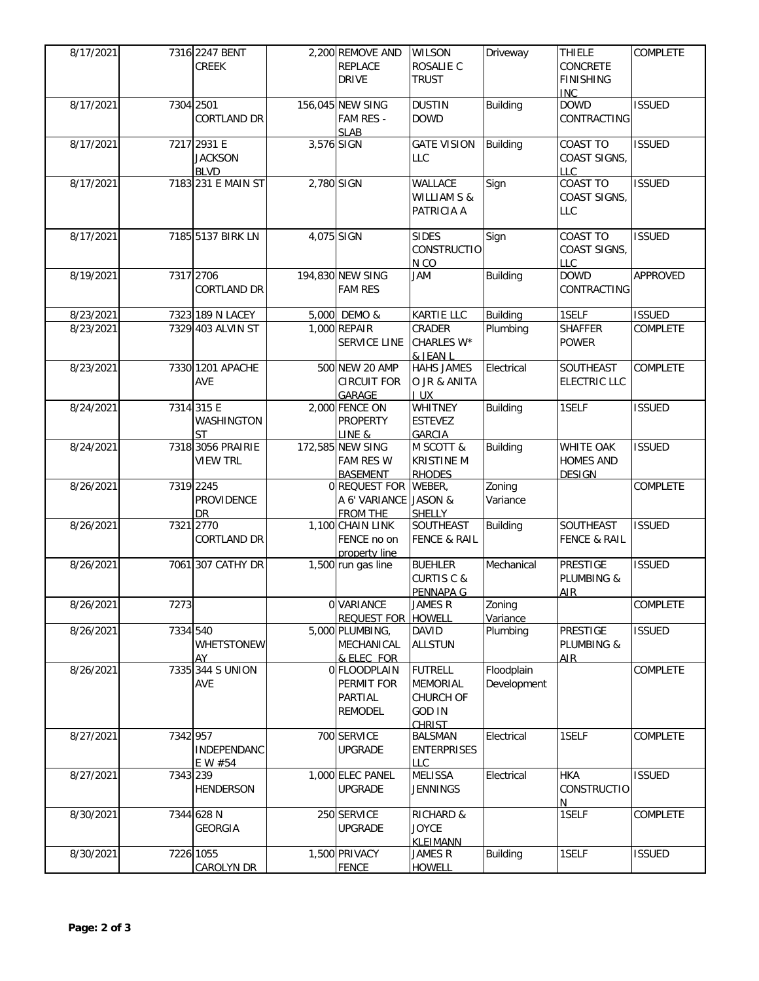| 8/17/2021 |           | 7316 2247 BENT                    |            | 2,200 REMOVE AND              | <b>WILSON</b>           | Driveway        | <b>THIELE</b>           | COMPLETE        |
|-----------|-----------|-----------------------------------|------------|-------------------------------|-------------------------|-----------------|-------------------------|-----------------|
|           |           | <b>CREEK</b>                      |            | REPLACE                       | ROSALIE C               |                 | CONCRETE                |                 |
|           |           |                                   |            | <b>DRIVE</b>                  | <b>TRUST</b>            |                 | <b>FINISHING</b>        |                 |
|           |           |                                   |            |                               |                         |                 | <b>INC</b>              |                 |
| 8/17/2021 | 7304 2501 |                                   |            | 156,045 NEW SING              | <b>DUSTIN</b>           | <b>Building</b> | <b>DOWD</b>             | <b>ISSUED</b>   |
|           |           | CORTLAND DR                       |            | FAM RES -                     | <b>DOWD</b>             |                 | CONTRACTING             |                 |
|           |           |                                   |            | <b>SLAB</b>                   |                         |                 |                         |                 |
| 8/17/2021 |           | 7217 2931 E                       | 3,576 SIGN |                               | <b>GATE VISION</b>      | <b>Building</b> | COAST TO                | <b>ISSUED</b>   |
|           |           | <b>JACKSON</b>                    |            |                               | LLC                     |                 | COAST SIGNS,            |                 |
|           |           |                                   |            |                               |                         |                 |                         |                 |
|           |           | <b>BLVD</b><br>7183 231 E MAIN ST | 2,780 SIGN |                               | <b>WALLACE</b>          |                 | LLC<br>COAST TO         | <b>ISSUED</b>   |
| 8/17/2021 |           |                                   |            |                               |                         | Sign            |                         |                 |
|           |           |                                   |            |                               | <b>WILLIAM S &amp;</b>  |                 | COAST SIGNS,            |                 |
|           |           |                                   |            |                               | PATRICIA A              |                 | LLC                     |                 |
|           |           |                                   |            |                               |                         |                 |                         |                 |
| 8/17/2021 |           | 7185 5137 BIRK LN                 | 4,075 SIGN |                               | <b>SIDES</b>            | Sign            | COAST TO                | <b>ISSUED</b>   |
|           |           |                                   |            |                               | <b>CONSTRUCTIO</b>      |                 | COAST SIGNS,            |                 |
|           |           |                                   |            |                               | N <sub>CO</sub>         |                 | LLC                     |                 |
| 8/19/2021 |           | 7317 2706                         |            | 194,830 NEW SING              | JAM                     | <b>Building</b> | <b>DOWD</b>             | APPROVED        |
|           |           | CORTLAND DR                       |            | <b>FAM RES</b>                |                         |                 | CONTRACTING             |                 |
|           |           |                                   |            |                               |                         |                 |                         |                 |
| 8/23/2021 |           | 7323 189 N LACEY                  |            | 5,000 DEMO &                  | KARTIE LLC              | <b>Building</b> | 1SELF                   | <b>ISSUED</b>   |
| 8/23/2021 |           | 7329 403 ALVIN ST                 |            | 1,000 REPAIR                  | CRADER                  | Plumbing        | <b>SHAFFER</b>          | <b>COMPLETE</b> |
|           |           |                                   |            | <b>SERVICE LINE</b>           | CHARLES W*              |                 | <b>POWER</b>            |                 |
|           |           |                                   |            |                               | & JEAN L                |                 |                         |                 |
| 8/23/2021 |           | 7330 1201 APACHE                  |            | 500 NEW 20 AMP                | HAHS JAMES              | Electrical      | SOUTHEAST               | COMPLETE        |
|           |           | AVE                               |            | <b>CIRCUIT FOR</b>            | O JR & ANITA            |                 | <b>ELECTRIC LLC</b>     |                 |
|           |           |                                   |            | <b>GARAGE</b>                 | J UX                    |                 |                         |                 |
| 8/24/2021 |           | 7314 315 E                        |            | 2,000 FENCE ON                | <b>WHITNEY</b>          | <b>Building</b> | 1SELF                   | <b>ISSUED</b>   |
|           |           |                                   |            | <b>PROPERTY</b>               | <b>ESTEVEZ</b>          |                 |                         |                 |
|           |           | WASHINGTON<br><b>ST</b>           |            |                               |                         |                 |                         |                 |
|           |           |                                   |            | LINE &                        | <b>GARCIA</b>           |                 |                         |                 |
| 8/24/2021 |           | 7318 3056 PRAIRIE                 |            | 172,585 NEW SING              | M SCOTT &               | <b>Building</b> | WHITE OAK               | <b>ISSUED</b>   |
|           |           | <b>VIEW TRL</b>                   |            | FAM RES W                     | <b>KRISTINE M</b>       |                 | <b>HOMES AND</b>        |                 |
|           |           |                                   |            | <b>BASEMENT</b>               | <b>RHODES</b>           |                 | <b>DESIGN</b>           |                 |
| 8/26/2021 |           | 7319 2245                         |            | OREQUEST FOR WEBER,           |                         | Zoning          |                         | COMPLETE        |
|           |           | <b>PROVIDENCE</b>                 |            | A 6' VARIANCE                 | <b>JASON &amp;</b>      | Variance        |                         |                 |
|           |           | <b>DR</b>                         |            | <b>FROM THE</b>               | <b>SHELLY</b>           |                 |                         |                 |
| 8/26/2021 |           | 7321 2770                         |            | $\overline{1,100}$ CHAIN LINK | SOUTHEAST               | <b>Building</b> | SOUTHEAST               | <b>ISSUED</b>   |
|           |           | CORTLAND DR                       |            | FENCE no on                   | <b>FENCE &amp; RAIL</b> |                 | <b>FENCE &amp; RAIL</b> |                 |
|           |           |                                   |            | property line                 |                         |                 |                         |                 |
| 8/26/2021 |           | 7061 307 CATHY DR                 |            | 1,500 run gas line            | <b>BUEHLER</b>          | Mechanical      | PRESTIGE                | <b>ISSUED</b>   |
|           |           |                                   |            |                               | <b>CURTIS C &amp;</b>   |                 | PLUMBING &              |                 |
|           |           |                                   |            |                               | <b>PENNAPA G</b>        |                 | <b>AIR</b>              |                 |
| 8/26/2021 | 7273      |                                   |            | 0 VARIANCE                    | JAMES R                 | Zoning          |                         | COMPLETE        |
|           |           |                                   |            | <b>REQUEST FOR HOWELL</b>     |                         | Variance        |                         |                 |
| 8/26/2021 | 7334 540  |                                   |            | 5,000 PLUMBING,               | <b>DAVID</b>            | Plumbing        | PRESTIGE                | <b>ISSUED</b>   |
|           |           | WHETSTONEW                        |            | MECHANICAL                    | <b>ALLSTUN</b>          |                 | <b>PLUMBING &amp;</b>   |                 |
|           |           | AY                                |            | & ELEC FOR                    |                         |                 | <b>AIR</b>              |                 |
| 8/26/2021 |           | 7335 344 S UNION                  |            | OFLOODPLAIN                   | <b>FUTRELL</b>          | Floodplain      |                         | COMPLETE        |
|           |           | AVE                               |            | PERMIT FOR                    | <b>MEMORIAL</b>         | Development     |                         |                 |
|           |           |                                   |            | PARTIAL                       | CHURCH OF               |                 |                         |                 |
|           |           |                                   |            | REMODEL                       | <b>GOD IN</b>           |                 |                         |                 |
|           |           |                                   |            |                               | <b>CHRIST</b>           |                 |                         |                 |
| 8/27/2021 | 7342 957  |                                   |            | 700 SERVICE                   | <b>BALSMAN</b>          | Electrical      | 1SELF                   | COMPLETE        |
|           |           | INDEPENDANC                       |            | <b>UPGRADE</b>                | <b>ENTERPRISES</b>      |                 |                         |                 |
|           |           | E W #54                           |            |                               | <b>LLC</b>              |                 |                         |                 |
| 8/27/2021 | 7343 239  |                                   |            | 1,000 ELEC PANEL              | <b>MELISSA</b>          | Electrical      | <b>HKA</b>              | <b>ISSUED</b>   |
|           |           |                                   |            |                               |                         |                 |                         |                 |
|           |           | <b>HENDERSON</b>                  |            | <b>UPGRADE</b>                | <b>JENNINGS</b>         |                 | CONSTRUCTIO             |                 |
|           |           |                                   |            |                               |                         |                 | N                       |                 |
| 8/30/2021 |           | 7344 628 N                        |            | 250 SERVICE                   | RICHARD &               |                 | 1SELF                   | COMPLETE        |
|           |           | <b>GEORGIA</b>                    |            | <b>UPGRADE</b>                | <b>JOYCE</b>            |                 |                         |                 |
|           |           |                                   |            |                               | <b>KLEIMANN</b>         |                 |                         |                 |
| 8/30/2021 |           | 7226 1055                         |            | 1,500 PRIVACY                 | JAMES R                 | <b>Building</b> | 1SELF                   | <b>ISSUED</b>   |
|           |           | CAROLYN DR                        |            | <b>FENCE</b>                  | <b>HOWELL</b>           |                 |                         |                 |